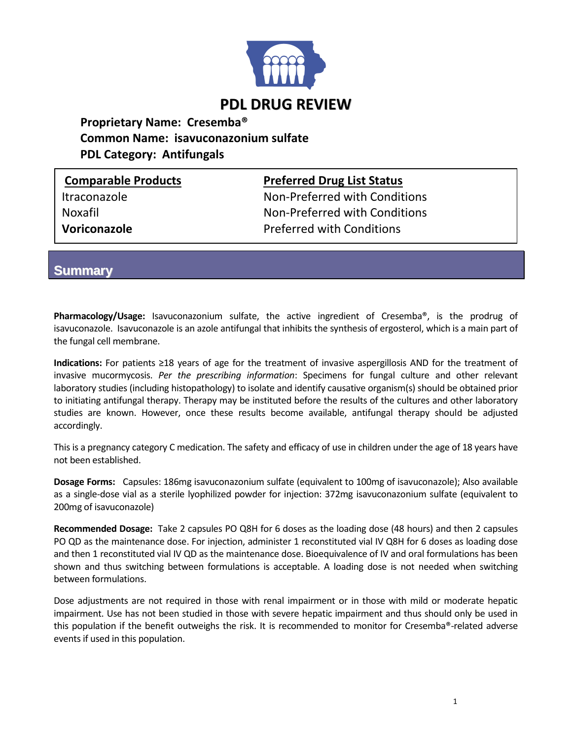

## **Proprietary Name: Cresemba® Common Name: isavuconazonium sulfate PDL Category: Antifungals**

**Comparable Products Preferred Drug List Status**

Itraconazole **Non-Preferred with Conditions** Noxafil Non-Preferred with Conditions **Voriconazole Preferred with Conditions** 

**Summary**

**Pharmacology/Usage:** Isavuconazonium sulfate, the active ingredient of Cresemba®, is the prodrug of isavuconazole. Isavuconazole is an azole antifungal that inhibits the synthesis of ergosterol, which is a main part of the fungal cell membrane.

**Indications:** For patients ≥18 years of age for the treatment of invasive aspergillosis AND for the treatment of invasive mucormycosis. *Per the prescribing information*: Specimens for fungal culture and other relevant laboratory studies (including histopathology) to isolate and identify causative organism(s) should be obtained prior to initiating antifungal therapy. Therapy may be instituted before the results of the cultures and other laboratory studies are known. However, once these results become available, antifungal therapy should be adjusted accordingly.

This is a pregnancy category C medication. The safety and efficacy of use in children under the age of 18 years have not been established.

**Dosage Forms:** Capsules: 186mg isavuconazonium sulfate (equivalent to 100mg of isavuconazole); Also available as a single-dose vial as a sterile lyophilized powder for injection: 372mg isavuconazonium sulfate (equivalent to 200mg of isavuconazole)

**Recommended Dosage:** Take 2 capsules PO Q8H for 6 doses as the loading dose (48 hours) and then 2 capsules PO QD as the maintenance dose. For injection, administer 1 reconstituted vial IV Q8H for 6 doses as loading dose and then 1 reconstituted vial IV QD as the maintenance dose. Bioequivalence of IV and oral formulations has been shown and thus switching between formulations is acceptable. A loading dose is not needed when switching between formulations.

Dose adjustments are not required in those with renal impairment or in those with mild or moderate hepatic impairment. Use has not been studied in those with severe hepatic impairment and thus should only be used in this population if the benefit outweighs the risk. It is recommended to monitor for Cresemba®-related adverse events if used in this population.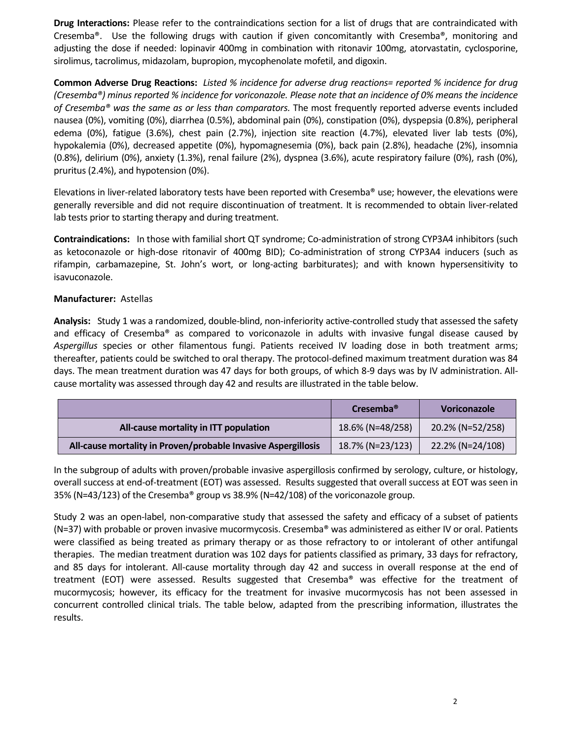**Drug Interactions:** Please refer to the contraindications section for a list of drugs that are contraindicated with Cresemba®. Use the following drugs with caution if given concomitantly with Cresemba®, monitoring and adjusting the dose if needed: lopinavir 400mg in combination with ritonavir 100mg, atorvastatin, cyclosporine, sirolimus, tacrolimus, midazolam, bupropion, mycophenolate mofetil, and digoxin.

**Common Adverse Drug Reactions:** *Listed % incidence for adverse drug reactions= reported % incidence for drug (Cresemba®) minus reported % incidence for voriconazole. Please note that an incidence of 0% means the incidence of Cresemba® was the same as or less than comparators.* The most frequently reported adverse events included nausea (0%), vomiting (0%), diarrhea (0.5%), abdominal pain (0%), constipation (0%), dyspepsia (0.8%), peripheral edema (0%), fatigue (3.6%), chest pain (2.7%), injection site reaction (4.7%), elevated liver lab tests (0%), hypokalemia (0%), decreased appetite (0%), hypomagnesemia (0%), back pain (2.8%), headache (2%), insomnia (0.8%), delirium (0%), anxiety (1.3%), renal failure (2%), dyspnea (3.6%), acute respiratory failure (0%), rash (0%), pruritus (2.4%), and hypotension (0%).

Elevations in liver-related laboratory tests have been reported with Cresemba® use; however, the elevations were generally reversible and did not require discontinuation of treatment. It is recommended to obtain liver-related lab tests prior to starting therapy and during treatment.

**Contraindications:** In those with familial short QT syndrome; Co-administration of strong CYP3A4 inhibitors (such as ketoconazole or high-dose ritonavir of 400mg BID); Co-administration of strong CYP3A4 inducers (such as rifampin, carbamazepine, St. John's wort, or long-acting barbiturates); and with known hypersensitivity to isavuconazole.

## **Manufacturer:** Astellas

**Analysis:** Study 1 was a randomized, double-blind, non-inferiority active-controlled study that assessed the safety and efficacy of Cresemba® as compared to voriconazole in adults with invasive fungal disease caused by *Aspergillus* species or other filamentous fungi. Patients received IV loading dose in both treatment arms; thereafter, patients could be switched to oral therapy. The protocol-defined maximum treatment duration was 84 days. The mean treatment duration was 47 days for both groups, of which 8-9 days was by IV administration. Allcause mortality was assessed through day 42 and results are illustrated in the table below.

|                                                               | Cresemba <sup>®</sup> | <b>Voriconazole</b> |
|---------------------------------------------------------------|-----------------------|---------------------|
| All-cause mortality in ITT population                         | 18.6% (N=48/258)      | 20.2% (N=52/258)    |
| All-cause mortality in Proven/probable Invasive Aspergillosis | 18.7% (N=23/123)      | 22.2% (N=24/108)    |

In the subgroup of adults with proven/probable invasive aspergillosis confirmed by serology, culture, or histology, overall success at end-of-treatment (EOT) was assessed. Results suggested that overall success at EOT was seen in 35% (N=43/123) of the Cresemba® group vs 38.9% (N=42/108) of the voriconazole group.

Study 2 was an open-label, non-comparative study that assessed the safety and efficacy of a subset of patients (N=37) with probable or proven invasive mucormycosis. Cresemba® was administered as either IV or oral. Patients were classified as being treated as primary therapy or as those refractory to or intolerant of other antifungal therapies. The median treatment duration was 102 days for patients classified as primary, 33 days for refractory, and 85 days for intolerant. All-cause mortality through day 42 and success in overall response at the end of treatment (EOT) were assessed. Results suggested that Cresemba® was effective for the treatment of mucormycosis; however, its efficacy for the treatment for invasive mucormycosis has not been assessed in concurrent controlled clinical trials. The table below, adapted from the prescribing information, illustrates the results.